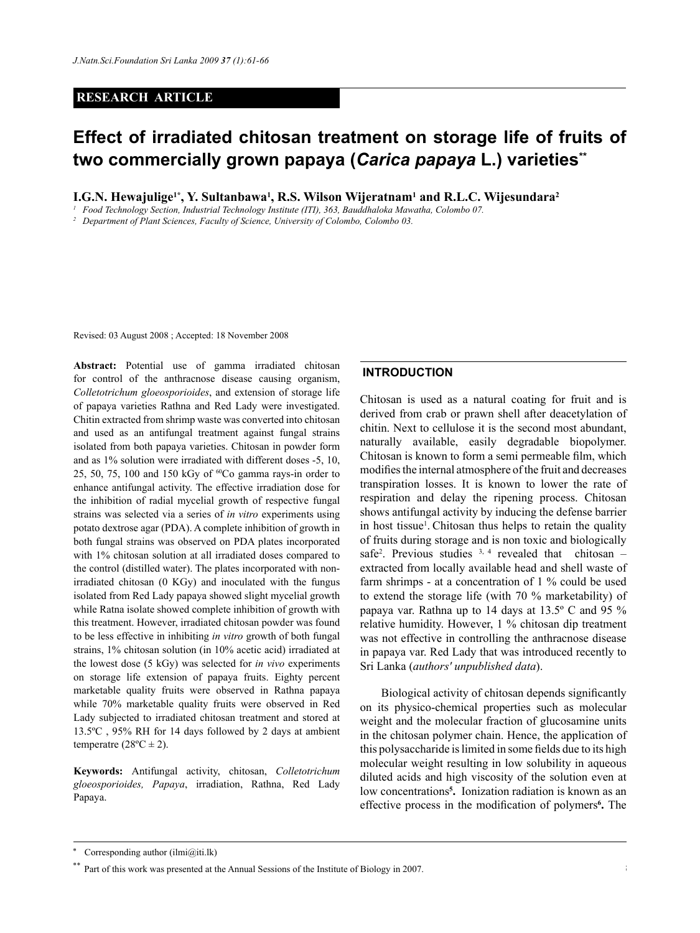## **RESEARCH ARTICLE**

# **Effect of irradiated chitosan treatment on storage life of fruits of two commercially grown papaya (***Carica papaya* **L.) varieties\*\***

**I.G.N. Hewajulige1\*, Y. Sultanbawa1 , R.S. Wilson Wijeratnam<sup>1</sup> and R.L.C. Wijesundara<sup>2</sup>**

<sup>1</sup> *Food Technology Section, Industrial Technology Institute (ITI), 363, Bauddhaloka Mawatha, Colombo 07.* <sup>2</sup> *Department of Plant Sciences, Faculty of Science, University of Colombo, Colombo 03.* 

Revised: 03 August 2008 ; Accepted: 18 November 2008

**Abstract:** Potential use of gamma irradiated chitosan for control of the anthracnose disease causing organism, *Colletotrichum gloeosporioides*, and extension of storage life of papaya varieties Rathna and Red Lady were investigated. Chitin extracted from shrimp waste was converted into chitosan and used as an antifungal treatment against fungal strains isolated from both papaya varieties. Chitosan in powder form and as 1% solution were irradiated with different doses -5, 10, 25, 50, 75, 100 and 150 kGy of 60Co gamma rays-in order to enhance antifungal activity. The effective irradiation dose for the inhibition of radial mycelial growth of respective fungal strains was selected via a series of *in vitro* experiments using potato dextrose agar (PDA). A complete inhibition of growth in both fungal strains was observed on PDA plates incorporated with 1% chitosan solution at all irradiated doses compared to the control (distilled water). The plates incorporated with nonirradiated chitosan (0 KGy) and inoculated with the fungus isolated from Red Lady papaya showed slight mycelial growth while Ratna isolate showed complete inhibition of growth with this treatment. However, irradiated chitosan powder was found to be less effective in inhibiting *in vitro* growth of both fungal strains, 1% chitosan solution (in 10% acetic acid) irradiated at the lowest dose (5 kGy) was selected for *in vivo* experiments on storage life extension of papaya fruits. Eighty percent marketable quality fruits were observed in Rathna papaya while 70% marketable quality fruits were observed in Red Lady subjected to irradiated chitosan treatment and stored at 13.5ºC , 95% RH for 14 days followed by 2 days at ambient temperatre  $(28^{\circ}C \pm 2)$ .

**Keywords:** Antifungal activity, chitosan, *Colletotrichum gloeosporioides, Papaya*, irradiation, Rathna, Red Lady Papaya.

## **INTRODUCTION**

Chitosan is used as a natural coating for fruit and is derived from crab or prawn shell after deacetylation of chitin. Next to cellulose it is the second most abundant, naturally available, easily degradable biopolymer. Chitosan is known to form a semi permeable film, which modifies the internal atmosphere of the fruit and decreases transpiration losses. It is known to lower the rate of respiration and delay the ripening process. Chitosan shows antifungal activity by inducing the defense barrier in host tissue<sup>1</sup>. Chitosan thus helps to retain the quality of fruits during storage and is non toxic and biologically safe<sup>2</sup>. Previous studies  $3, 4$  revealed that chitosan – extracted from locally available head and shell waste of farm shrimps - at a concentration of 1 % could be used to extend the storage life (with 70 % marketability) of papaya var. Rathna up to 14 days at 13.5º C and 95 % relative humidity. However, 1 % chitosan dip treatment was not effective in controlling the anthracnose disease in papaya var. Red Lady that was introduced recently to Sri Lanka (*authors' unpublished data*).

Biological activity of chitosan depends significantly on its physico-chemical properties such as molecular weight and the molecular fraction of glucosamine units in the chitosan polymer chain. Hence, the application of this polysaccharide is limited in some fields due to its high molecular weight resulting in low solubility in aqueous diluted acids and high viscosity of the solution even at low concentrations**<sup>5</sup> .** Ionization radiation is known as an effective process in the modification of polymers**<sup>6</sup> .** The

Corresponding author (ilmi $(\partial_i$ iti.lk)

<sup>&</sup>lt;sup>\*\*</sup> Part of this work was presented at the Annual Sessions of the Institute of Biology in 2007.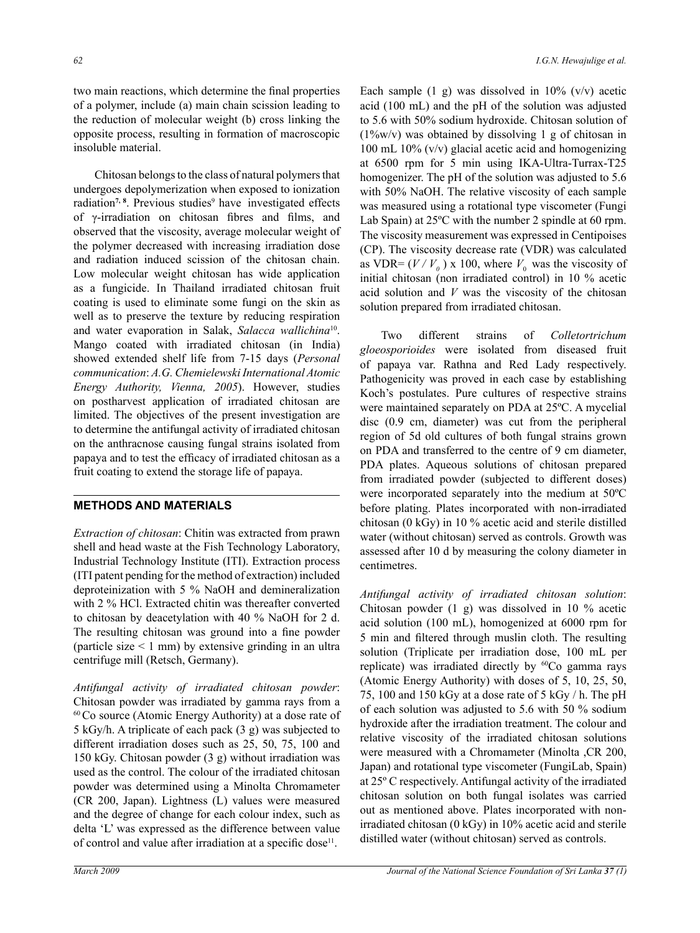two main reactions, which determine the final properties of a polymer, include (a) main chain scission leading to the reduction of molecular weight (b) cross linking the opposite process, resulting in formation of macroscopic insoluble material.

Chitosan belongs to the class of natural polymers that undergoes depolymerization when exposed to ionization radiation<sup>7, 8</sup>. Previous studies<sup>9</sup> have investigated effects of γ-irradiation on chitosan fibres and films, and observed that the viscosity, average molecular weight of the polymer decreased with increasing irradiation dose and radiation induced scission of the chitosan chain. Low molecular weight chitosan has wide application as a fungicide. In Thailand irradiated chitosan fruit coating is used to eliminate some fungi on the skin as well as to preserve the texture by reducing respiration and water evaporation in Salak, *Salacca wallichina*10. Mango coated with irradiated chitosan (in India) showed extended shelf life from 7-15 days (*Personal communication*: *A.G. Chemielewski International Atomic Energy Authority, Vienna, 2005*). However, studies on postharvest application of irradiated chitosan are limited. The objectives of the present investigation are to determine the antifungal activity of irradiated chitosan on the anthracnose causing fungal strains isolated from papaya and to test the efficacy of irradiated chitosan as a fruit coating to extend the storage life of papaya.

## **METHODS AND MATERIALS**

*Extraction of chitosan*: Chitin was extracted from prawn shell and head waste at the Fish Technology Laboratory, Industrial Technology Institute (ITI). Extraction process (ITI patent pending for the method of extraction) included deproteinization with 5 % NaOH and demineralization with 2 % HCl. Extracted chitin was thereafter converted to chitosan by deacetylation with 40 % NaOH for 2 d. The resulting chitosan was ground into a fine powder (particle size  $\leq 1$  mm) by extensive grinding in an ultra centrifuge mill (Retsch, Germany).

*Antifungal activity of irradiated chitosan powder*: Chitosan powder was irradiated by gamma rays from a  $60$  Co source (Atomic Energy Authority) at a dose rate of 5 kGy/h. A triplicate of each pack (3 g) was subjected to different irradiation doses such as 25, 50, 75, 100 and 150 kGy. Chitosan powder (3 g) without irradiation was used as the control. The colour of the irradiated chitosan powder was determined using a Minolta Chromameter (CR 200, Japan). Lightness (L) values were measured and the degree of change for each colour index, such as delta 'L' was expressed as the difference between value of control and value after irradiation at a specific dose<sup>11</sup>.

Each sample  $(1 \text{ g})$  was dissolved in 10%  $(v/v)$  acetic acid (100 mL) and the pH of the solution was adjusted to 5.6 with 50% sodium hydroxide. Chitosan solution of (1%w/v) was obtained by dissolving 1 g of chitosan in 100 mL 10% (v/v) glacial acetic acid and homogenizing at 6500 rpm for 5 min using IKA-Ultra-Turrax-T25 homogenizer. The pH of the solution was adjusted to 5.6 with 50% NaOH. The relative viscosity of each sample was measured using a rotational type viscometer (Fungi Lab Spain) at 25ºC with the number 2 spindle at 60 rpm. The viscosity measurement was expressed in Centipoises (CP). The viscosity decrease rate (VDR) was calculated as VDR=  $(V/V_0)$  x 100, where  $V_0$  was the viscosity of initial chitosan (non irradiated control) in 10 % acetic acid solution and *V* was the viscosity of the chitosan solution prepared from irradiated chitosan.

Two different strains of *Colletortrichum gloeosporioides* were isolated from diseased fruit of papaya var. Rathna and Red Lady respectively. Pathogenicity was proved in each case by establishing Koch's postulates. Pure cultures of respective strains were maintained separately on PDA at 25ºC. A mycelial disc (0.9 cm, diameter) was cut from the peripheral region of 5d old cultures of both fungal strains grown on PDA and transferred to the centre of 9 cm diameter, PDA plates. Aqueous solutions of chitosan prepared from irradiated powder (subjected to different doses) were incorporated separately into the medium at 50ºC before plating. Plates incorporated with non-irradiated chitosan (0 kGy) in 10 % acetic acid and sterile distilled water (without chitosan) served as controls. Growth was assessed after 10 d by measuring the colony diameter in centimetres.

*Antifungal activity of irradiated chitosan solution*: Chitosan powder (1 g) was dissolved in 10 % acetic acid solution (100 mL), homogenized at 6000 rpm for 5 min and filtered through muslin cloth. The resulting solution (Triplicate per irradiation dose, 100 mL per replicate) was irradiated directly by <sup>60</sup>Co gamma rays (Atomic Energy Authority) with doses of 5, 10, 25, 50, 75, 100 and 150 kGy at a dose rate of 5 kGy / h. The pH of each solution was adjusted to 5.6 with 50 % sodium hydroxide after the irradiation treatment. The colour and relative viscosity of the irradiated chitosan solutions were measured with a Chromameter (Minolta ,CR 200, Japan) and rotational type viscometer (FungiLab, Spain) at 25º C respectively. Antifungal activity of the irradiated chitosan solution on both fungal isolates was carried out as mentioned above. Plates incorporated with nonirradiated chitosan (0 kGy) in 10% acetic acid and sterile distilled water (without chitosan) served as controls.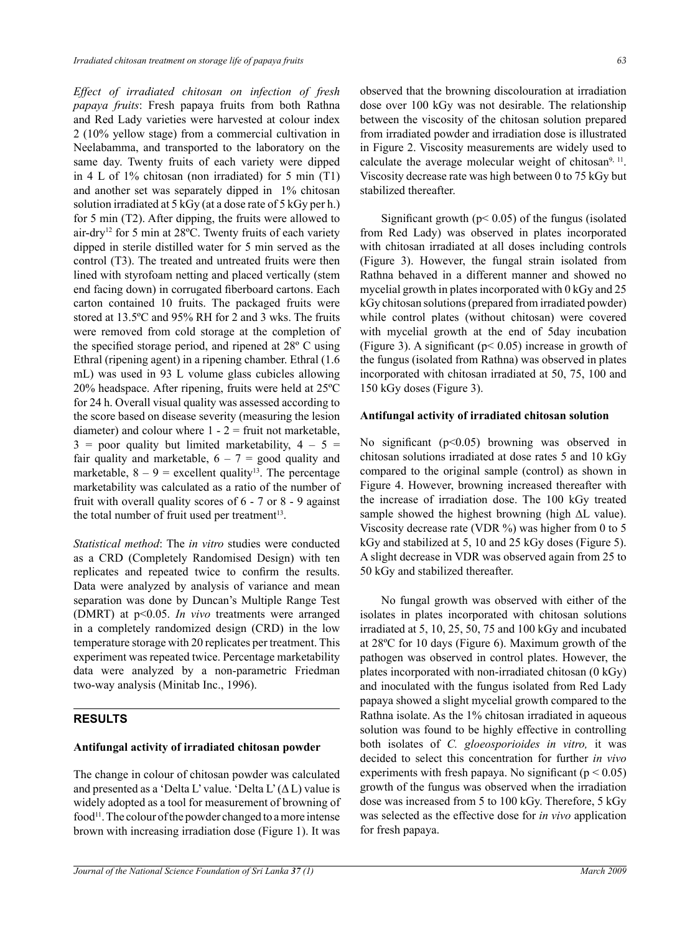*Effect of irradiated chitosan on infection of fresh papaya fruits*: Fresh papaya fruits from both Rathna and Red Lady varieties were harvested at colour index 2 (10% yellow stage) from a commercial cultivation in Neelabamma, and transported to the laboratory on the same day. Twenty fruits of each variety were dipped in 4 L of 1% chitosan (non irradiated) for 5 min (T1) and another set was separately dipped in 1% chitosan solution irradiated at 5 kGy (at a dose rate of 5 kGy per h.) for 5 min (T2). After dipping, the fruits were allowed to air-dry12 for 5 min at 28ºC. Twenty fruits of each variety dipped in sterile distilled water for 5 min served as the control (T3). The treated and untreated fruits were then lined with styrofoam netting and placed vertically (stem end facing down) in corrugated fiberboard cartons. Each carton contained 10 fruits. The packaged fruits were stored at 13.5ºC and 95% RH for 2 and 3 wks. The fruits were removed from cold storage at the completion of the specified storage period, and ripened at 28º C using Ethral (ripening agent) in a ripening chamber. Ethral (1.6 mL) was used in 93 L volume glass cubicles allowing 20% headspace. After ripening, fruits were held at 25ºC for 24 h. Overall visual quality was assessed according to the score based on disease severity (measuring the lesion diameter) and colour where  $1 - 2$  = fruit not marketable,  $3 =$  poor quality but limited marketability,  $4 - 5 =$ fair quality and marketable,  $6 - 7 =$  good quality and marketable,  $8 - 9$  = excellent quality<sup>13</sup>. The percentage marketability was calculated as a ratio of the number of fruit with overall quality scores of 6 - 7 or 8 - 9 against the total number of fruit used per treatment<sup>13</sup>.

*Statistical method*: The *in vitro* studies were conducted as a CRD (Completely Randomised Design) with ten replicates and repeated twice to confirm the results. Data were analyzed by analysis of variance and mean separation was done by Duncan's Multiple Range Test (DMRT) at p<0.05. *In vivo* treatments were arranged in a completely randomized design (CRD) in the low temperature storage with 20 replicates per treatment. This experiment was repeated twice. Percentage marketability data were analyzed by a non-parametric Friedman two-way analysis (Minitab Inc., 1996).

#### **RESULTS**

#### **Antifungal activity of irradiated chitosan powder**

The change in colour of chitosan powder was calculated and presented as a 'Delta L' value. 'Delta L'  $(\Delta L)$  value is widely adopted as a tool for measurement of browning of  $food<sup>11</sup>$ . The colour of the powder changed to a more intense brown with increasing irradiation dose (Figure 1). It was observed that the browning discolouration at irradiation dose over 100 kGy was not desirable. The relationship between the viscosity of the chitosan solution prepared from irradiated powder and irradiation dose is illustrated in Figure 2. Viscosity measurements are widely used to calculate the average molecular weight of chitosan<sup>9, 11</sup>. Viscosity decrease rate was high between 0 to 75 kGy but stabilized thereafter.

Significant growth ( $p$ < 0.05) of the fungus (isolated from Red Lady) was observed in plates incorporated with chitosan irradiated at all doses including controls (Figure 3). However, the fungal strain isolated from Rathna behaved in a different manner and showed no mycelial growth in plates incorporated with 0 kGy and 25 kGy chitosan solutions (prepared from irradiated powder) while control plates (without chitosan) were covered with mycelial growth at the end of 5day incubation (Figure 3). A significant ( $p$ < 0.05) increase in growth of the fungus (isolated from Rathna) was observed in plates incorporated with chitosan irradiated at 50, 75, 100 and 150 kGy doses (Figure 3).

#### **Antifungal activity of irradiated chitosan solution**

No significant (p<0.05) browning was observed in chitosan solutions irradiated at dose rates 5 and 10 kGy compared to the original sample (control) as shown in Figure 4. However, browning increased thereafter with the increase of irradiation dose. The 100 kGy treated sample showed the highest browning (high ∆L value). Viscosity decrease rate (VDR %) was higher from 0 to 5 kGy and stabilized at 5, 10 and 25 kGy doses (Figure 5). A slight decrease in VDR was observed again from 25 to 50 kGy and stabilized thereafter.

No fungal growth was observed with either of the isolates in plates incorporated with chitosan solutions irradiated at 5, 10, 25, 50, 75 and 100 kGy and incubated at 28ºC for 10 days (Figure 6). Maximum growth of the pathogen was observed in control plates. However, the plates incorporated with non-irradiated chitosan (0 kGy) and inoculated with the fungus isolated from Red Lady papaya showed a slight mycelial growth compared to the Rathna isolate. As the 1% chitosan irradiated in aqueous solution was found to be highly effective in controlling both isolates of *C. gloeosporioides in vitro,* it was decided to select this concentration for further *in vivo* experiments with fresh papaya. No significant ( $p < 0.05$ ) growth of the fungus was observed when the irradiation dose was increased from 5 to 100 kGy. Therefore, 5 kGy was selected as the effective dose for *in vivo* application for fresh papaya.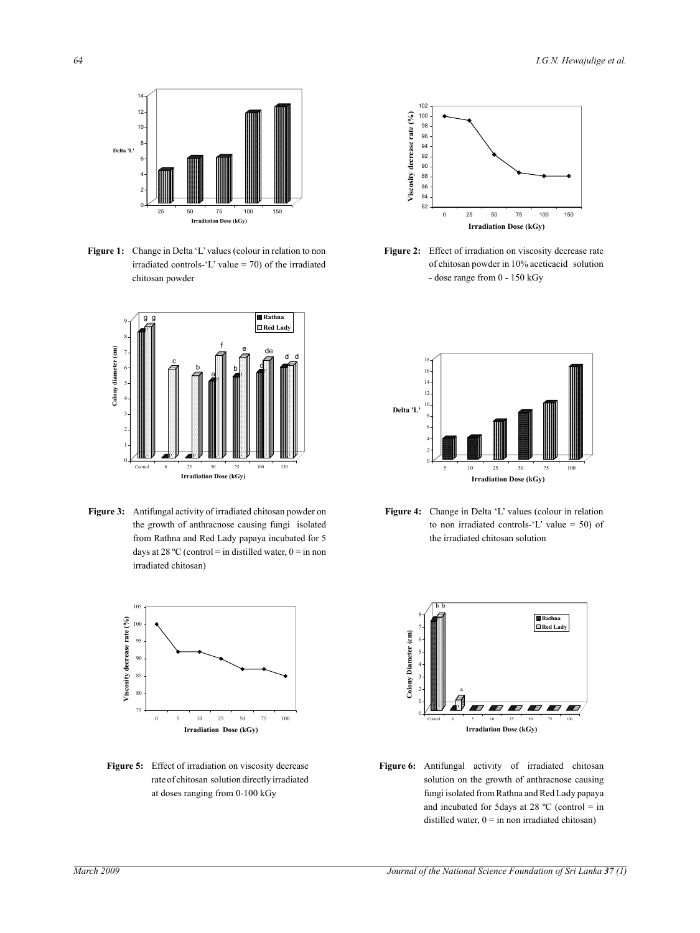

Figure 1: Change in Delta 'L' values (colour in relation to non  $\frac{6}{\pi}$  irradiated controls- $\frac{1}{\pi}$  value = 70) of the irradiated chitosan powder



**Figure 3:** Antifungal activity of irradiated chitosan powder on the growth of anthracnose causing fungi isolated from Rathna and Red Lady papaya incubated for 5 days at 28 °C (control = in distilled water,  $0 =$  in non irradiated chitosan)



**Figure 5:** Effect of irradiation on viscosity decrease rate of chitosan solution directly irradiated at doses ranging from 0-100 kGy



**Figure 2:** Effect of irradiation on viscosity decrease rate of chitosan powder in 10% aceticacid solution - dose range from 0 - 150 kGy



**Figure 4:** Change in Delta 'L' values (colour in relation to non irradiated controls- $'L$  value = 50) of the irradiated chitosan solution



**Figure 6:** Antifungal activity of irradiated chitosan solution on the growth of anthracnose causing fungi isolated from Rathna and Red Lady papaya and incubated for 5 days at 28  $^{\circ}$ C (control = in distilled water,  $0 =$  in non irradiated chitosan)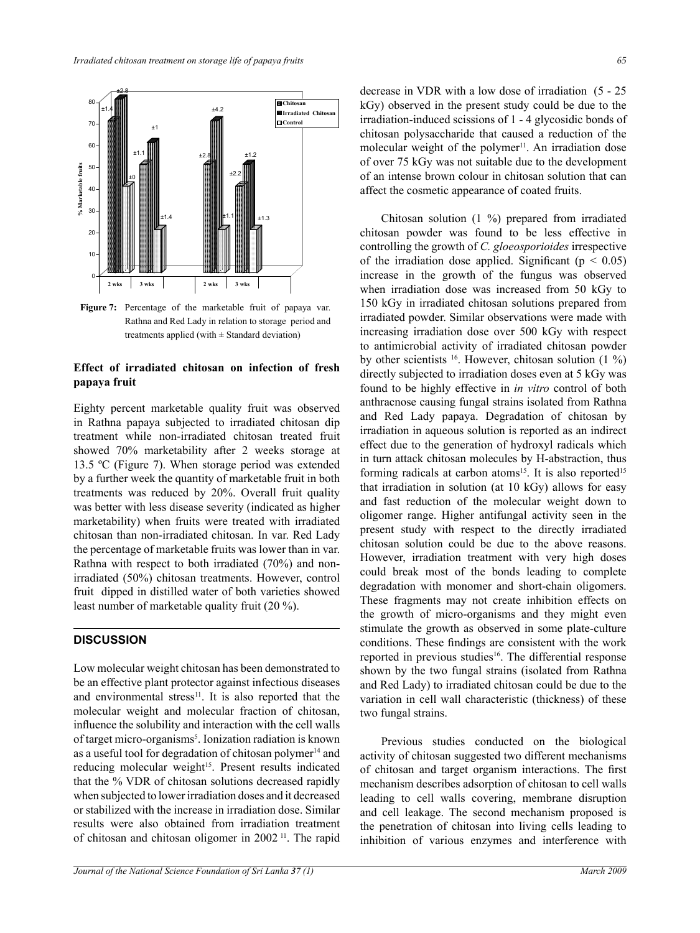

**Figure 7:** Percentage of the marketable fruit of papaya var. Rathna and Red Lady in relation to storage period and treatments applied (with  $\pm$  Standard deviation)

#### **Effect of irradiated chitosan on infection of fresh papaya fruit**

Eighty percent marketable quality fruit was observed in Rathna papaya subjected to irradiated chitosan dip treatment while non-irradiated chitosan treated fruit showed 70% marketability after 2 weeks storage at 13.5 ºC (Figure 7). When storage period was extended by a further week the quantity of marketable fruit in both treatments was reduced by 20%. Overall fruit quality was better with less disease severity (indicated as higher marketability) when fruits were treated with irradiated chitosan than non-irradiated chitosan. In var. Red Lady the percentage of marketable fruits was lower than in var. Rathna with respect to both irradiated (70%) and nonirradiated (50%) chitosan treatments. However, control fruit dipped in distilled water of both varieties showed least number of marketable quality fruit (20 %).

## **DISCUSSION**

Low molecular weight chitosan has been demonstrated to be an effective plant protector against infectious diseases and environmental stress $11$ . It is also reported that the molecular weight and molecular fraction of chitosan, influence the solubility and interaction with the cell walls of target micro-organisms<sup>5</sup>. Ionization radiation is known as a useful tool for degradation of chitosan polymer $14$  and reducing molecular weight<sup>15</sup>. Present results indicated that the % VDR of chitosan solutions decreased rapidly when subjected to lower irradiation doses and it decreased or stabilized with the increase in irradiation dose. Similar results were also obtained from irradiation treatment of chitosan and chitosan oligomer in 2002 11. The rapid

decrease in VDR with a low dose of irradiation (5 - 25 kGy) observed in the present study could be due to the irradiation-induced scissions of 1 - 4 glycosidic bonds of chitosan polysaccharide that caused a reduction of the molecular weight of the polymer<sup>11</sup>. An irradiation dose of over 75 kGy was not suitable due to the development of an intense brown colour in chitosan solution that can affect the cosmetic appearance of coated fruits.

Chitosan solution (1 %) prepared from irradiated chitosan powder was found to be less effective in controlling the growth of *C. gloeosporioides* irrespective of the irradiation dose applied. Significant ( $p < 0.05$ ) increase in the growth of the fungus was observed when irradiation dose was increased from 50 kGy to 150 kGy in irradiated chitosan solutions prepared from irradiated powder. Similar observations were made with increasing irradiation dose over 500 kGy with respect to antimicrobial activity of irradiated chitosan powder by other scientists 16. However, chitosan solution (1 %) directly subjected to irradiation doses even at 5 kGy was found to be highly effective in *in vitro* control of both anthracnose causing fungal strains isolated from Rathna and Red Lady papaya. Degradation of chitosan by irradiation in aqueous solution is reported as an indirect effect due to the generation of hydroxyl radicals which in turn attack chitosan molecules by H-abstraction, thus forming radicals at carbon atoms<sup>15</sup>. It is also reported<sup>15</sup> that irradiation in solution (at 10 kGy) allows for easy and fast reduction of the molecular weight down to oligomer range. Higher antifungal activity seen in the present study with respect to the directly irradiated chitosan solution could be due to the above reasons. However, irradiation treatment with very high doses could break most of the bonds leading to complete degradation with monomer and short-chain oligomers. These fragments may not create inhibition effects on the growth of micro-organisms and they might even stimulate the growth as observed in some plate-culture conditions. These findings are consistent with the work reported in previous studies<sup>16</sup>. The differential response shown by the two fungal strains (isolated from Rathna and Red Lady) to irradiated chitosan could be due to the variation in cell wall characteristic (thickness) of these two fungal strains. **Figure 7: Percentage Marketable fruit of papaya var. Rathna and Red Lady in** 

> Previous studies conducted on the biological activity of chitosan suggested two different mechanisms of chitosan and target organism interactions. The first mechanism describes adsorption of chitosan to cell walls leading to cell walls covering, membrane disruption and cell leakage. The second mechanism proposed is the penetration of chitosan into living cells leading to inhibition of various enzymes and interference with